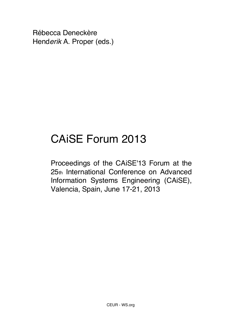Rébecca Deneckère Hend*erik* A. Proper (eds.)

## CAiSE Forum 2013

Proceedings of the CAiSE'13 Forum at the 25th International Conference on Advanced Information Systems Engineering (CAiSE), Valencia, Spain, June 17-21, 2013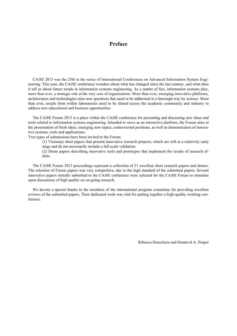## **Preface**

CAiSE 2013 was the 25th in the series of International Conferences on Advanced Information System Engineering. This year, the CAiSE conference wonders about what has changed since the last century, and what does it tell us about future trends in information systems engineering. As a matter of fact, information systems play, more than ever, a strategic role at the very core of organizations. More than ever, emerging innovative platforms, architectures and technologies raise new questions that need to be addressed in a thorough way by science. More than ever, results from within laboratories need to be shared across the academic community and industry to address new educational and business opportunities.

The CAiSE Forum 2013 is a place within the CAiSE conference for presenting and discussing new ideas and tools related to information systems engineering. Intended to serve as an interactive platform, the Forum aims at the presentation of fresh ideas, emerging new topics, controversial positions, as well as demonstration of innovative systems, tools and applications.

Two types of submissions have been invited to the Forum:

(1) Visionary short papers that present innovative research projects, which are still at a relatively early stage and do not necessarily include a full-scale validation.

(2) Demo papers describing innovative tools and prototypes that implement the results of research efforts.

The CAiSE Forum 2013 proceedings represent a collection of 21 excellent short research papers and demos. The selection of Forum papers was very competitive, due to the high standard of the submitted papers. Several innovative papers initially submitted to the CAiSE conference were selected for the CAiSE Forum to stimulate open discussions of high quality on on-going research.

We devote a special thanks to the members of the international program committee for providing excellent reviews of the submitted papers. Their dedicated work was vital for putting together a high-quality working conference.

Rébecca Deneckere and Hend*erik* A. Proper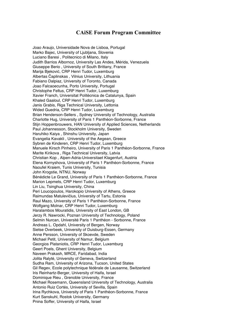## **CAiSE Forum Program Committee**

Joao Araujo, Universidade Nova de Lisboa, Portugal Marko Bajec, University of Ljubljana, Slovenia Luciano Baresi , Politecnico di Milano, Italy Judith Barrios Albornoz, University Las Andes, Mérida, Venezuela Giuseppe Berio , University of South Brittany, France Marija Bjeković, CRP Henri Tudor, Luxemburg Albertas Čaplinskas , Vilnius University, Lithuania Fabiano Dalpiaz, University of Toronto, Canada Joao Falcaoecunha, Porto University, Portugal Christophe Feltus, CRP Henri Tudor, Luxemburg Xavier Franch, Universitat Politècnica de Catalunya, Spain Khaled Gaaloul, CRP Henri Tudor, Luxemburg Janis Grabis, Riga Technical University, Lettonia Wided Guedria, CRP Henri Tudor, Luxemburg Brian Henderson-Sellers , Sydney University of Technology, Australia Charlotte Hug, University of Paris 1 Panthéon-Sorbonne, France Stijn Hoppenbrouwers, HAN University of Applied Sciences, Netherlands Paul Johannesson, Stockholm University, Sweden Haruhiko Kaiya , Shinshu University, Japan Evangelia Kavakli , University of the Aegean, Greece Sybren de Kinderen, CRP Henri Tudor, Luxemburg Manuele Kirsch Pinheiro, University of Paris 1 Panthéon-Sorbonne, France Marite Kirikova , Riga Technical University, Latvia Christian Kop , Alpen-Adria-Universitaet Klagenfurt, Austria Elena Kornyshova, University of Paris 1 Panthéon-Sorbonne, France Naoufel Kraiem, Tunis University, Tunisia John Krogstie, NTNU, Norway Bénédicte Le Grand, University of Paris 1 Panthéon-Sorbonne, France Marion Lepmets, CRP Henri Tudor, Luxemburg Lin Liu, Tsinghua University, China Peri Loucopoulos, Harokopio University of Athens, Greece Raimundas Matulevičius, University of Tartu, Estonia Raul Mazo, University of Paris 1 Panthéon-Sorbonne, France Wolfgang Molnar, CRP Henri Tudor, Luxemburg Haralambos Mouratidis, University of East London, GB Jerzy R. Nawrocki, Poznan University of Technology, Poland Selmin Nurcan, Université Paris 1 Panthéon - Sorbonne, France Andreas L. Opdahl, University of Bergen, Norway Sietse Overbeek, University of Duisburg-Essen, Germany Anne Persson, University of Skoevde, Sweden Michael Petit, University of Namur, Belgium Georgios Plataniotis, CRP Henri Tudor, Luxemburg Geert Poels, Ghent University, Belgium Naveen Prakash, MRCE, Faridabad, India Jolita Ralyté, University of Geneva, Switzerland Sudha Ram, University of Arizona, Tucson, United States Gil Regev, Ecole polytechnique fédérale de Lausanne, Switzerland Iris Reinhartz-Berger, University of Haifa, Israel Dominique Rieu , Grenoble University, France Michael Rosemann, Queensland University of Technology, Australia Antonio Ruiz Cortés, University of Sevilla, Spain Irina Rychkova, University of Paris 1 Panthéon-Sorbonne, France Kurt Sanskuhl, Rostok University, Germany Pnina Soffer, University of Haifa, Israel